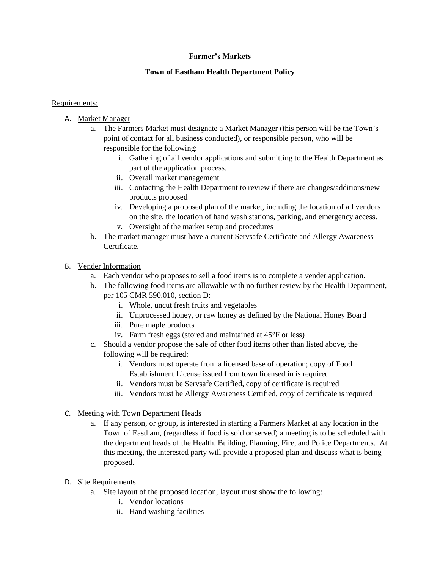### **Farmer's Markets**

### **Town of Eastham Health Department Policy**

#### Requirements:

- A. Market Manager
	- a. The Farmers Market must designate a Market Manager (this person will be the Town's point of contact for all business conducted), or responsible person, who will be responsible for the following:
		- i. Gathering of all vendor applications and submitting to the Health Department as part of the application process.
		- ii. Overall market management
		- iii. Contacting the Health Department to review if there are changes/additions/new products proposed
		- iv. Developing a proposed plan of the market, including the location of all vendors on the site, the location of hand wash stations, parking, and emergency access. v. Oversight of the market setup and procedures
	- b. The market manager must have a current Servsafe Certificate and Allergy Awareness Certificate.

### B. Vender Information

- a. Each vendor who proposes to sell a food items is to complete a vender application.
- b. The following food items are allowable with no further review by the Health Department, per 105 CMR 590.010, section D:
	- i. Whole, uncut fresh fruits and vegetables
	- ii. Unprocessed honey, or raw honey as defined by the National Honey Board
	- iii. Pure maple products
	- iv. Farm fresh eggs (stored and maintained at 45°F or less)
- c. Should a vendor propose the sale of other food items other than listed above, the following will be required:
	- i. Vendors must operate from a licensed base of operation; copy of Food Establishment License issued from town licensed in is required.
	- ii. Vendors must be Servsafe Certified, copy of certificate is required
	- iii. Vendors must be Allergy Awareness Certified, copy of certificate is required
- C. Meeting with Town Department Heads
	- a. If any person, or group, is interested in starting a Farmers Market at any location in the Town of Eastham, (regardless if food is sold or served) a meeting is to be scheduled with the department heads of the Health, Building, Planning, Fire, and Police Departments. At this meeting, the interested party will provide a proposed plan and discuss what is being proposed.
- D. Site Requirements
	- a. Site layout of the proposed location, layout must show the following:
		- i. Vendor locations
		- ii. Hand washing facilities